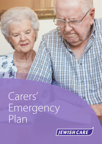Carers' Emergency Plan

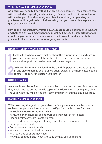## **WHAT IS A CARERS' EMERGENCY PLAN?**

**As a carer you need to know that if an emergency happens, replacement care will be sorted out speedily and efficiently. It's important to think about who will care for your friend or family member if something happens to you. If you become ill or go into hospital, knowing that you have a plan in place can give you peace of mind.**

**Having this important information in one place could be of immense support and help at a critical time, when time might be limited. It is important to talk about the plan with the person you care for if possible, and also with those you would like to be named as emergency contacts.**

## **REASONS FOR HAVING AN EMERGENCY PLAN**

**1** For families to have a conversation about the current situation and care in place so they are aware of the wishes of the cared-for person, options of care and support that can be provided in an emergency. place so they are aware of the wishes of the cared-for person, options of care and support that can be provided in an emergency.

**2**To have all information related to the cared-for person's care and support in one place that may be useful to Social Services or the nominated people to safely look after the person you care for.

## **BACK UP CARER**

Ask a family member or friend if they are willing to be a back-up carer. Discuss what they would need to do and provide copies of any documents or emergency plans. The Local Authority will provide short term emergency care if no-one is available.

#### **MAKING AN EMERGENCY PLAN**

Write down key things about your friend or family member's health and care so that other people will know what to do if you're unable to care for them. **You could include information such as:**

- Name, telephone number and address and their next of kin's details
- GP and healthcare team's contact details
- List of medication, dosage and timings and at which pharmacy repeat prescriptions are held
- Back-up carer's contact details
- Medical condition and healthcare needs
- What care and support they need
- How they communicate (what language do they use/understand)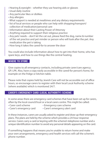- Hearing & eyesight whether they use hearing aids or glasses
- Usual daily routine
- Any particular likes or dislikes
- Any allergies
- What support is needed at mealtimes and any dietary requirements
- list of local services or people who can help with shopping/transport/ collection of medication/personal care
- Information about their Lasting Power of Attorney
- Anything required to support their religious practice
- Any pets' needs don't let the cat out, please feed the dog, name & number of the vet practice and pet minder or person who will look after the pet. Any medication the pet is taking
- How long it takes the cared-for to answer the door

You could also include information about how to get into their home, who has spare keys, and how to use things like the central heating.

## **WHERE TO STORE**

Give copies to all emergency contacts, including private carer/care agency; GP; LPA. Also, have a copy easily accessible in the cared-for person's home, for example on the fridge or kitchen table.

Please note that copies held by Jewish Care will not be accessible out of office hours, so encourage carers to register with their local Local Authority scheme (where available) which is monitored 24/7.

# **CARER'S EMERGENCY CARD (LOCAL AUTHORITY) SCHEME**

In some areas there are emergency card schemes that have been set up for carers, often by the local council/trust or a local carers centre. This might be called:

- 
- Carer card scheme Emergency care scheme
- 
- Carer's emergency card Carer's emergency alert card

In these instances, carers are usually asked to register and draw up their emergency plans. The plans are held by the scheme which provides a 24-hour response service. Carers carry a card or keyring with the scheme's telephone number and a unique identification number to avoid any personal details appearing on the card.

If something happens that means you're unable to return home and make your own arrangements, emergency and health services will call the scheme's phone number.